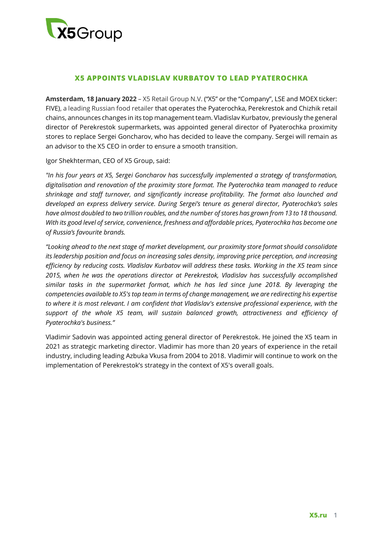

# **X5 APPOINTS VLADISLAV KURBATOV TO LEAD PYATEROCHKA**

**Amsterdam, 18 January 2022** – X5 Retail Group N.V. ("X5" or the "Company", LSE and MOEX ticker: FIVE), a leading Russian food retailer that operates the Pyaterochka, Perekrestok and Chizhik retail chains, announces changes in its top management team. Vladislav Kurbatov, previously the general director of Perekrestok supermarkets, was appointed general director of Pyaterochka proximity stores to replace Sergei Goncharov, who has decided to leave the company. Sergei will remain as an advisor to the X5 CEO in order to ensure a smooth transition.

Igor Shekhterman, CEO of X5 Group, said:

*"In his four years at X5, Sergei Goncharov has successfully implemented a strategy of transformation, digitalisation and renovation of the proximity store format. The Pyaterochka team managed to reduce shrinkage and staff turnover, and significantly increase profitability. The format also launched and developed an express delivery service. During Sergei's tenure as general director, Pyaterochka's sales have almost doubled to two trillion roubles, and the number of stores has grown from 13 to 18 thousand. With its good level of service, convenience, freshness and affordable prices, Pyaterochka has become one of Russia's favourite brands.* 

*"Looking ahead to the next stage of market development, our proximity store format should consolidate its leadership position and focus on increasing sales density, improving price perception, and increasing efficiency by reducing costs. Vladislav Kurbatov will address these tasks. Working in the X5 team since 2015, when he was the operations director at Perekrestok, Vladislav has successfully accomplished similar tasks in the supermarket format, which he has led since June 2018. By leveraging the competencies available to X5's top team in terms of change management, we are redirecting his expertise to where it is most relevant. I am confident that Vladislav's extensive professional experience, with the support of the whole X5 team, will sustain balanced growth, attractiveness and efficiency of Pyaterochka's business."*

Vladimir Sadovin was appointed acting general director of Perekrestok. He joined the X5 team in 2021 as strategic marketing director. Vladimir has more than 20 years of experience in the retail industry, including leading Azbuka Vkusa from 2004 to 2018. Vladimir will continue to work on the implementation of Perekrestok's strategy in the context of X5's overall goals.